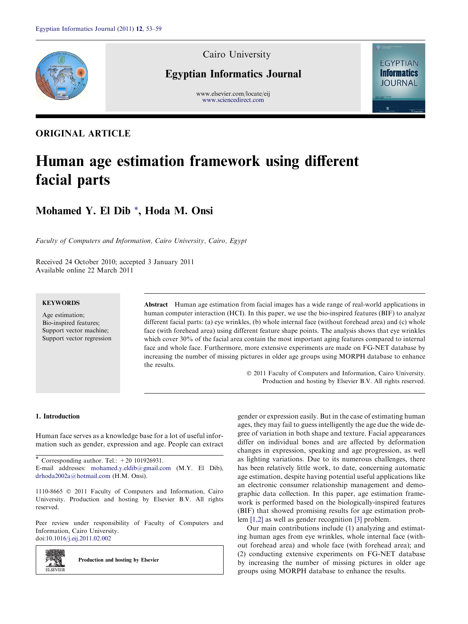

# Cairo University

# Egyptian Informatics Journal

www.elsevier.com/locate/eij [www.sciencedirect.com](http://www.sciencedirect.com/science/journal/11108665)



# ORIGINAL ARTICLE

# Human age estimation framework using different facial parts

# Mohamed Y. El Dib \*, Hoda M. Onsi

Faculty of Computers and Information, Cairo University, Cairo, Egypt

Received 24 October 2010; accepted 3 January 2011 Available online 22 March 2011

# **KEYWORDS**

Age estimation; Bio-inspired features; Support vector machine; Support vector regression Abstract Human age estimation from facial images has a wide range of real-world applications in human computer interaction (HCI). In this paper, we use the bio-inspired features (BIF) to analyze different facial parts: (a) eye wrinkles, (b) whole internal face (without forehead area) and (c) whole face (with forehead area) using different feature shape points. The analysis shows that eye wrinkles which cover 30% of the facial area contain the most important aging features compared to internal face and whole face. Furthermore, more extensive experiments are made on FG-NET database by increasing the number of missing pictures in older age groups using MORPH database to enhance the results.

> $\odot$  2011 Faculty of Computers and Information, Cairo University. Production and hosting by Elsevier B.V. All rights reserved.

# 1. Introduction

2.SN

Human face serves as a knowledge base for a lot of useful information such as gender, expression and age. People can extract

\* Corresponding author. Tel.:  $+20$  101926931. E-mail addresses: [mohamed.y.eldib@gmail.com](mailto:mohamed.y.eldib@gmail.com) (M.Y. El Dib), [drhoda2002a@hotmail.com](mailto:drhoda2002a@hotmail.com) (H.M. Onsi).

1110-8665  $\odot$  2011 Faculty of Computers and Information, Cairo University. Production and hosting by Elsevier B.V. All rights reserved.

Peer review under responsibility of Faculty of Computers and Information, Cairo University. doi[:10.1016/j.eij.2011.02.002](http://dx.doi.org/10.1016/j.eij.2011.02.002)

Production and hosting by Elsevier **ELSEVIEE** 

gender or expression easily. But in the case of estimating human ages, they may fail to guess intelligently the age due the wide degree of variation in both shape and texture. Facial appearances differ on individual bones and are affected by deformation changes in expression, speaking and age progression, as well as lighting variations. Due to its numerous challenges, there has been relatively little work, to date, concerning automatic age estimation, despite having potential useful applications like an electronic consumer relationship management and demographic data collection. In this paper, age estimation framework is performed based on the biologically-inspired features (BIF) that showed promising results for age estimation problem [\[1,2\]](#page-6-0) as well as gender recognition [\[3\]](#page-6-0) problem.

Our main contributions include (1) analyzing and estimating human ages from eye wrinkles, whole internal face (without forehead area) and whole face (with forehead area); and (2) conducting extensive experiments on FG-NET database by increasing the number of missing pictures in older age groups using MORPH database to enhance the results.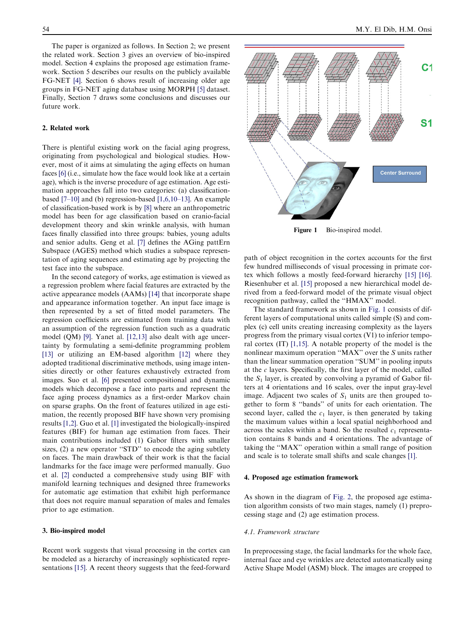The paper is organized as follows. In Section 2; we present the related work. Section 3 gives an overview of bio-inspired model. Section 4 explains the proposed age estimation framework. Section 5 describes our results on the publicly available FG-NET [\[4\].](#page-6-0) Section 6 shows result of increasing older age groups in FG-NET aging database using MORPH [\[5\]](#page-6-0) dataset. Finally, Section 7 draws some conclusions and discusses our future work.

# 2. Related work

There is plentiful existing work on the facial aging progress, originating from psychological and biological studies. However, most of it aims at simulating the aging effects on human faces [\[6\]](#page-6-0) (i.e., simulate how the face would look like at a certain age), which is the inverse procedure of age estimation. Age estimation approaches fall into two categories: (a) classificationbased [\[7–10\]](#page-6-0) and (b) regression-based [\[1,6,10–13\].](#page-6-0) An example of classification-based work is by [\[8\]](#page-6-0) where an anthropometric model has been for age classification based on cranio-facial development theory and skin wrinkle analysis, with human faces finally classified into three groups: babies, young adults and senior adults. Geng et al. [\[7\]](#page-6-0) defines the AGing pattErn Subspace (AGES) method which studies a subspace representation of aging sequences and estimating age by projecting the test face into the subspace.

In the second category of works, age estimation is viewed as a regression problem where facial features are extracted by the active appearance models (AAMs) [\[14\]](#page-6-0) that incorporate shape and appearance information together. An input face image is then represented by a set of fitted model parameters. The regression coefficients are estimated from training data with an assumption of the regression function such as a quadratic model (QM) [\[9\].](#page-6-0) Yanet al. [\[12,13\]](#page-6-0) also dealt with age uncertainty by formulating a semi-definite programming problem [\[13\]](#page-6-0) or utilizing an EM-based algorithm [\[12\]](#page-6-0) where they adopted traditional discriminative methods, using image intensities directly or other features exhaustively extracted from images. Suo et al. [\[6\]](#page-6-0) presented compositional and dynamic models which decompose a face into parts and represent the face aging process dynamics as a first-order Markov chain on sparse graphs. On the front of features utilized in age estimation, the recently proposed BIF have shown very promising results [\[1,2\].](#page-6-0) Guo et al. [\[1\]](#page-6-0) investigated the biologically-inspired features (BIF) for human age estimation from faces. Their main contributions included (1) Gabor filters with smaller sizes, (2) a new operator "STD" to encode the aging subtlety on faces. The main drawback of their work is that the facial landmarks for the face image were performed manually. Guo et al. [\[2\]](#page-6-0) conducted a comprehensive study using BIF with manifold learning techniques and designed three frameworks for automatic age estimation that exhibit high performance that does not require manual separation of males and females prior to age estimation.

# 3. Bio-inspired model

Recent work suggests that visual processing in the cortex can be modeled as a hierarchy of increasingly sophisticated representations [\[15\].](#page-6-0) A recent theory suggests that the feed-forward



Figure 1 Bio-inspired model.

path of object recognition in the cortex accounts for the first few hundred milliseconds of visual processing in primate cortex which follows a mostly feed-forward hierarchy [\[15\] \[16\]](#page-6-0). Riesenhuber et al. [\[15\]](#page-6-0) proposed a new hierarchical model derived from a feed-forward model of the primate visual object recognition pathway, called the ''HMAX'' model.

The standard framework as shown in Fig. 1 consists of different layers of computational units called simple (S) and complex (c) cell units creating increasing complexity as the layers progress from the primary visual cortex (V1) to inferior temporal cortex (IT) [\[1,15\]](#page-6-0). A notable property of the model is the nonlinear maximum operation ''MAX'' over the S units rather than the linear summation operation ''SUM'' in pooling inputs at the  $c$  layers. Specifically, the first layer of the model, called the  $S_1$  layer, is created by convolving a pyramid of Gabor filters at 4 orientations and 16 scales, over the input gray-level image. Adjacent two scales of  $S_1$  units are then grouped together to form 8 ''bands'' of units for each orientation. The second layer, called the  $c_1$  layer, is then generated by taking the maximum values within a local spatial neighborhood and across the scales within a band. So the resulted  $c_1$  representation contains 8 bands and 4 orientations. The advantage of taking the ''MAX'' operation within a small range of position and scale is to tolerate small shifts and scale changes [\[1\].](#page-6-0)

#### 4. Proposed age estimation framework

As shown in the diagram of [Fig. 2,](#page-2-0) the proposed age estimation algorithm consists of two main stages, namely (1) preprocessing stage and (2) age estimation process.

# 4.1. Framework structure

In preprocessing stage, the facial landmarks for the whole face, internal face and eye wrinkles are detected automatically using Active Shape Model (ASM) block. The images are cropped to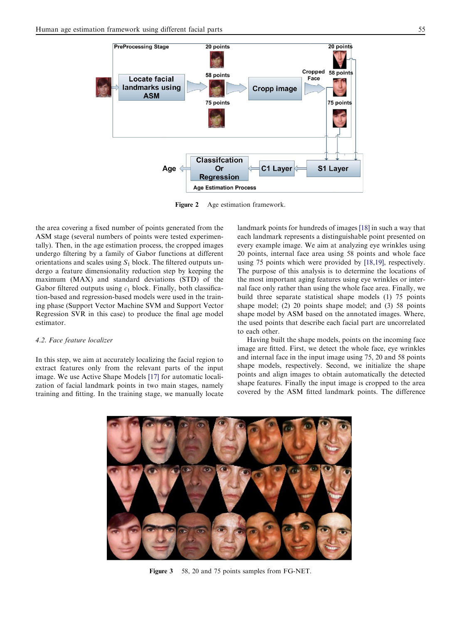<span id="page-2-0"></span>

Figure 2 Age estimation framework.

the area covering a fixed number of points generated from the ASM stage (several numbers of points were tested experimentally). Then, in the age estimation process, the cropped images undergo filtering by a family of Gabor functions at different orientations and scales using  $S_1$  block. The filtered outputs undergo a feature dimensionality reduction step by keeping the maximum (MAX) and standard deviations (STD) of the Gabor filtered outputs using  $c_1$  block. Finally, both classification-based and regression-based models were used in the training phase (Support Vector Machine SVM and Support Vector Regression SVR in this case) to produce the final age model estimator.

# 4.2. Face feature localizer

In this step, we aim at accurately localizing the facial region to extract features only from the relevant parts of the input image. We use Active Shape Models [\[17\]](#page-6-0) for automatic localization of facial landmark points in two main stages, namely training and fitting. In the training stage, we manually locate landmark points for hundreds of images [\[18\]](#page-6-0) in such a way that each landmark represents a distinguishable point presented on every example image. We aim at analyzing eye wrinkles using 20 points, internal face area using 58 points and whole face using 75 points which were provided by [\[18,19\],](#page-6-0) respectively. The purpose of this analysis is to determine the locations of the most important aging features using eye wrinkles or internal face only rather than using the whole face area. Finally, we build three separate statistical shape models (1) 75 points shape model; (2) 20 points shape model; and (3) 58 points shape model by ASM based on the annotated images. Where, the used points that describe each facial part are uncorrelated to each other.

Having built the shape models, points on the incoming face image are fitted. First, we detect the whole face, eye wrinkles and internal face in the input image using 75, 20 and 58 points shape models, respectively. Second, we initialize the shape points and align images to obtain automatically the detected shape features. Finally the input image is cropped to the area covered by the ASM fitted landmark points. The difference



Figure 3 58, 20 and 75 points samples from FG-NET.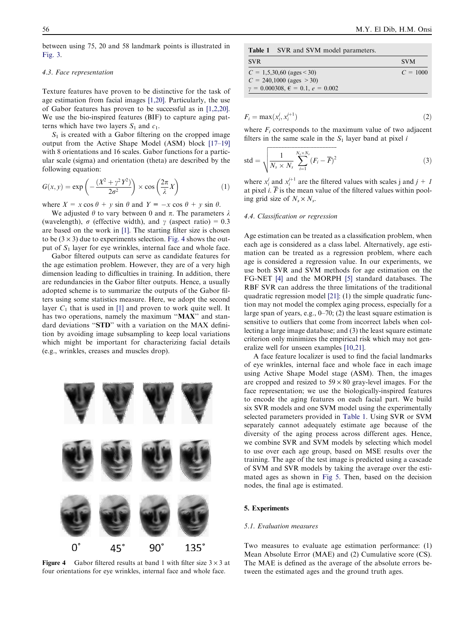between using 75, 20 and 58 landmark points is illustrated in [Fig. 3.](#page-2-0)

#### 4.3. Face representation

Texture features have proven to be distinctive for the task of age estimation from facial images [\[1,20\]](#page-6-0). Particularly, the use of Gabor features has proven to be successful as in [\[1,2,20\]](#page-6-0). We use the bio-inspired features (BIF) to capture aging patterns which have two layers  $S_1$  and  $c_1$ .

 $S_1$  is created with a Gabor filtering on the cropped image output from the Active Shape Model (ASM) block [\[17–19\]](#page-6-0) with 8 orientations and 16 scales. Gabor functions for a particular scale (sigma) and orientation (theta) are described by the following equation:

$$
G(x, y) = \exp\left(-\frac{(X^2 + \gamma^2 Y^2)}{2\sigma^2}\right) \times \cos\left(\frac{2\pi}{\lambda}X\right)
$$
 (1)

where  $X = x \cos \theta + y \sin \theta$  and  $Y = -x \cos \theta + y \sin \theta$ .

We adjusted  $\theta$  to vary between 0 and  $\pi$ . The parameters  $\lambda$ (wavelength),  $\sigma$  (effective width), and  $\gamma$  (aspect ratio) = 0.3 are based on the work in [\[1\]](#page-6-0). The starting filter size is chosen to be  $(3 \times 3)$  due to experiments selection. Fig. 4 shows the output of  $S_1$  layer for eye wrinkles, internal face and whole face.

Gabor filtered outputs can serve as candidate features for the age estimation problem. However, they are of a very high dimension leading to difficulties in training. In addition, there are redundancies in the Gabor filter outputs. Hence, a usually adopted scheme is to summarize the outputs of the Gabor filters using some statistics measure. Here, we adopt the second layer  $C_1$  that is used in [\[1\]](#page-6-0) and proven to work quite well. It has two operations, namely the maximum "MAX" and standard deviations ''STD'' with a variation on the MAX definition by avoiding image subsampling to keep local variations which might be important for characterizing facial details (e.g., wrinkles, creases and muscles drop).



Figure 4 Gabor filtered results at band 1 with filter size  $3 \times 3$  at four orientations for eye wrinkles, internal face and whole face.

|  |  |  |  |  |  | <b>Table 1</b> SVR and SVM model parameters. |
|--|--|--|--|--|--|----------------------------------------------|
|--|--|--|--|--|--|----------------------------------------------|

| <b>SVR</b>                                         | <b>SVM</b> |
|----------------------------------------------------|------------|
| $C = 1,5,30,60$ (ages < 30)                        | $C = 1000$ |
| $C = 240,1000$ (ages $> 30$ )                      |            |
| $\gamma = 0.000308, \ \epsilon = 0.1, \ e = 0.002$ |            |

$$
F_i = \max(x_i^j, x_i^{j+1})
$$
\n<sup>(2)</sup>

where  $F_i$  corresponds to the maximum value of two adjacent filters in the same scale in the  $S_1$  layer band at pixel i

$$
std = \sqrt{\frac{1}{N_s \times N_s} \sum_{i=1}^{N_s \times N_s} (F_i - \overline{F})^2}
$$
 (3)

where  $x_i^j$  and  $x_i^{j+1}$  are the filtered values with scales j and  $j+1$ at pixel *i*.  $\overline{F}$  is the mean value of the filtered values within pooling grid size of  $N_s \times N_s$ .

## 4.4. Classification or regression

Age estimation can be treated as a classification problem, when each age is considered as a class label. Alternatively, age estimation can be treated as a regression problem, where each age is considered a regression value. In our experiments, we use both SVR and SVM methods for age estimation on the FG-NET [\[4\]](#page-6-0) and the MORPH [\[5\]](#page-6-0) standard databases. The RBF SVR can address the three limitations of the traditional quadratic regression model [\[21\]](#page-6-0): (1) the simple quadratic function may not model the complex aging process, especially for a large span of years, e.g., 0–70; (2) the least square estimation is sensitive to outliers that come from incorrect labels when collecting a large image database; and (3) the least square estimate criterion only minimizes the empirical risk which may not generalize well for unseen examples [\[10,21\]](#page-6-0).

A face feature localizer is used to find the facial landmarks of eye wrinkles, internal face and whole face in each image using Active Shape Model stage (ASM). Then, the images are cropped and resized to  $59 \times 80$  gray-level images. For the face representation; we use the biologically-inspired features to encode the aging features on each facial part. We build six SVR models and one SVM model using the experimentally selected parameters provided in Table 1. Using SVR or SVM separately cannot adequately estimate age because of the diversity of the aging process across different ages. Hence, we combine SVR and SVM models by selecting which model to use over each age group, based on MSE results over the training. The age of the test image is predicted using a cascade of SVM and SVR models by taking the average over the estimated ages as shown in [Fig 5](#page-4-0). Then, based on the decision nodes, the final age is estimated.

# 5. Experiments

#### 5.1. Evaluation measures

Two measures to evaluate age estimation performance: (1) Mean Absolute Error (MAE) and (2) Cumulative score (CS). The MAE is defined as the average of the absolute errors between the estimated ages and the ground truth ages.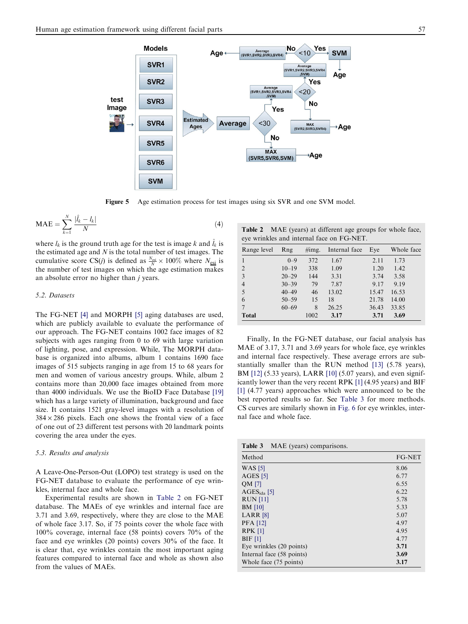<span id="page-4-0"></span>

Figure 5 Age estimation process for test images using six SVR and one SVM model.

$$
\text{MAE} = \sum_{k=1}^{N} \frac{|\hat{l}_k - l_k|}{N} \tag{4}
$$

where  $l_k$  is the ground truth age for the test is image k and  $\hat{l}_k$  is the estimated age and  $N$  is the total number of test images. The cumulative score CS(*j*) is defined as  $\frac{N_{\text{esi}}}{N} \times 100\%$  where  $N_{\text{esi}}$  is the number of test images on which the age estimation makes an absolute error no higher than *j* years.

# 5.2. Datasets

The FG-NET [\[4\]](#page-6-0) and MORPH [\[5\]](#page-6-0) aging databases are used, which are publicly available to evaluate the performance of our approach. The FG-NET contains 1002 face images of 82 subjects with ages ranging from 0 to 69 with large variation of lighting, pose, and expression. While, The MORPH database is organized into albums, album 1 contains 1690 face images of 515 subjects ranging in age from 15 to 68 years for men and women of various ancestry groups. While, album 2 contains more than 20,000 face images obtained from more than 4000 individuals. We use the BioID Face Database [\[19\]](#page-6-0) which has a large variety of illumination, background and face size. It contains 1521 gray-level images with a resolution of  $384 \times 286$  pixels. Each one shows the frontal view of a face of one out of 23 different test persons with 20 landmark points covering the area under the eyes.

# 5.3. Results and analysis

A Leave-One-Person-Out (LOPO) test strategy is used on the FG-NET database to evaluate the performance of eye wrinkles, internal face and whole face.

Experimental results are shown in Table 2 on FG-NET database. The MAEs of eye wrinkles and internal face are 3.71 and 3.69, respectively, where they are close to the MAE of whole face 3.17. So, if 75 points cover the whole face with 100% coverage, internal face (58 points) covers 70% of the face and eye wrinkles (20 points) covers 30% of the face. It is clear that, eye wrinkles contain the most important aging features compared to internal face and whole as shown also from the values of MAEs.

Table 2 MAE (years) at different age groups for whole face, eye wrinkles and internal face on FG-NET.

| Range level    | Rng       |      | Internal face | Eye   | Whole face |  |
|----------------|-----------|------|---------------|-------|------------|--|
|                | $0 - 9$   | 372  | 1.67          | 2.11  | 1.73       |  |
| 2              | $10 - 19$ | 338  | 1.09          | 1.20  | 1.42       |  |
| 3              | $20 - 29$ | 144  | 3.31          | 3.74  | 3.58       |  |
| $\overline{4}$ | $30 - 39$ | 79   | 7.87          | 9.17  | 9.19       |  |
| 5              | $40 - 49$ | 46   | 13.02         | 15.47 | 16.53      |  |
| 6              | $50 - 59$ | 15   | 18            | 21.78 | 14.00      |  |
|                | $60 - 69$ | 8    | 26.25         | 36.43 | 33.85      |  |
| <b>Total</b>   |           | 1002 | 3.17          | 3.71  | 3.69       |  |

Finally, In the FG-NET database, our facial analysis has MAE of 3.17, 3.71 and 3.69 years for whole face, eye wrinkles and internal face respectively. These average errors are substantially smaller than the RUN method [\[13\]](#page-6-0) (5.78 years), BM [\[12\]](#page-6-0) (5.33 years), LARR [\[10\]](#page-6-0) (5.07 years), and even significantly lower than the very recent RPK [\[1\]](#page-6-0) (4.95 years) and BIF [\[1\]](#page-6-0) (4.77 years) approaches which were announced to be the best reported results so far. See Table 3 for more methods. CS curves are similarly shown in [Fig. 6](#page-5-0) for eye wrinkles, internal face and whole face.

Table 3 MAE (years) comparisons.

| Method                    | <b>FG-NET</b> |
|---------------------------|---------------|
| <b>WAS</b> [5]            | 8.06          |
| $AGES$ [5]                | 6.77          |
| QM [7]                    | 6.55          |
| $AGESida$ [5]             | 6.22          |
| <b>RUN</b> [11]           | 5.78          |
| <b>BM</b> [10]            | 5.33          |
| LARR <sub>[8]</sub>       | 5.07          |
| <b>PFA</b> [12]           | 4.97          |
| <b>RPK [1]</b>            | 4.95          |
| BIF[1]                    | 4.77          |
| Eye wrinkles (20 points)  | 3.71          |
| Internal face (58 points) | 3.69          |
| Whole face (75 points)    | 3.17          |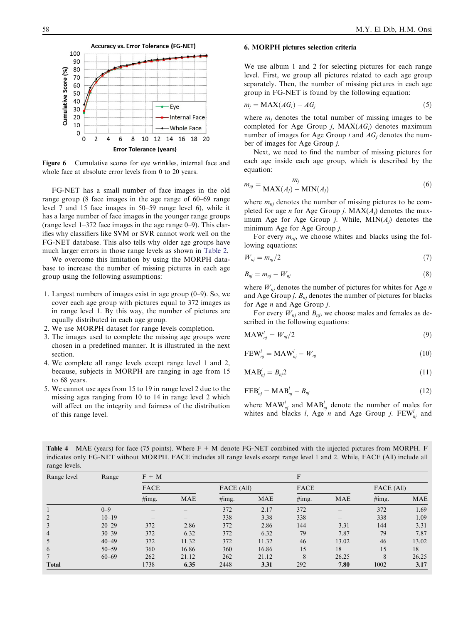

Figure 6 Cumulative scores for eye wrinkles, internal face and whole face at absolute error levels from 0 to 20 years.

FG-NET has a small number of face images in the old range group (8 face images in the age range of 60–69 range level 7 and 15 face images in 50–59 range level 6), while it has a large number of face images in the younger range groups (range level 1–372 face images in the age range 0–9). This clarifies why classifiers like SVM or SVR cannot work well on the FG-NET database. This also tells why older age groups have much larger errors in those range levels as shown in [Table 2.](#page-4-0)

We overcome this limitation by using the MORPH database to increase the number of missing pictures in each age group using the following assumptions:

- 1. Largest numbers of images exist in age group (0–9). So, we cover each age group with pictures equal to 372 images as in range level 1. By this way, the number of pictures are equally distributed in each age group.
- 2. We use MORPH dataset for range levels completion.
- 3. The images used to complete the missing age groups were chosen in a predefined manner. It is illustrated in the next section.
- 4. We complete all range levels except range level 1 and 2, because, subjects in MORPH are ranging in age from 15 to 68 years.
- 5. We cannot use ages from 15 to 19 in range level 2 due to the missing ages ranging from 10 to 14 in range level 2 which will affect on the integrity and fairness of the distribution of this range level.

#### <span id="page-5-0"></span>58 M.Y. El Dib, H.M. Onsi

# 6. MORPH pictures selection criteria

We use album 1 and 2 for selecting pictures for each range level. First, we group all pictures related to each age group separately. Then, the number of missing pictures in each age group in FG-NET is found by the following equation:

$$
m_j = \text{MAX}(AG_i) - AG_j \tag{5}
$$

where  $m_i$  denotes the total number of missing images to be completed for Age Group *j*,  $MAX(AG_i)$  denotes maximum number of images for Age Group i and  $AG_i$  denotes the number of images for Age Group j.

Next, we need to find the number of missing pictures for each age inside each age group, which is described by the equation:

$$
m_{nj} = \frac{m_j}{\text{MAX}(A_j) - \text{MIN}(A_j)}
$$
(6)

where  $m_{nj}$  denotes the number of missing pictures to be completed for age *n* for Age Group *j*.  $MAX(A_j)$  denotes the maximum Age for Age Group *j*. While,  $MIN(A_i)$  denotes the minimum Age for Age Group j.

For every  $m_{nj}$ , we choose whites and blacks using the following equations:

$$
W_{nj} = m_{nj}/2 \tag{7}
$$

$$
B_{nj} = m_{nj} - W_{nj} \tag{8}
$$

where  $W_{nj}$  denotes the number of pictures for whites for Age *n* and Age Group j.  $B_{nj}$  denotes the number of pictures for blacks for Age  $n$  and Age Group  $j$ .

For every  $W_{nj}$  and  $B_{nj}$ , we choose males and females as described in the following equations:

$$
MAW'_{nj} = W_{nj}/2
$$
\n(9)

$$
\text{FEW}_{nj}^l = \text{MAW}_{nj}^l - W_{nj} \tag{10}
$$

$$
\mathbf{MAB}_{nj}^l = B_{nj}2\tag{11}
$$

$$
FEB_{nj}^l = MAB_{nj}^l - B_{nj}
$$
 (12)

where  $\text{MAW}_{nj}^l$  and  $\text{MAB}_{nj}^l$  denote the number of males for whites and blacks *l*, Age *n* and Age Group *j*.  $FEW_{nj}^l$  and

**Table 4** MAE (years) for face (75 points). Where  $F + M$  denote FG-NET combined with the injected pictures from MORPH. F indicates only FG-NET without MORPH. FACE includes all range levels except range level 1 and 2. While, FACE (All) include all range levels.

| Range level    | Range     | $F + M$     |                   |            |            |          | F                               |            |            |  |
|----------------|-----------|-------------|-------------------|------------|------------|----------|---------------------------------|------------|------------|--|
|                |           | <b>FACE</b> |                   | FACE (All) |            | FACE     |                                 | FACE (All) |            |  |
|                |           | $\#img.$    | MAE               | $\#img.$   | <b>MAE</b> | $\#img.$ | <b>MAE</b>                      | $\#img.$   | <b>MAE</b> |  |
|                | $0 - 9$   |             |                   | 372        | 2.17       | 372      |                                 | 372        | 1.69       |  |
| 2              | $10 - 19$ | -           | $\qquad \qquad -$ | 338        | 3.38       | 338      | $\hspace{0.1mm}-\hspace{0.1mm}$ | 338        | 1.09       |  |
| 3              | $20 - 29$ | 372         | 2.86              | 372        | 2.86       | 144      | 3.31                            | 144        | 3.31       |  |
| $\overline{4}$ | $30 - 39$ | 372         | 6.32              | 372        | 6.32       | 79       | 7.87                            | 79         | 7.87       |  |
| 5              | $40 - 49$ | 372         | 11.32             | 372        | 11.32      | 46       | 13.02                           | 46         | 13.02      |  |
| 6              | $50 - 59$ | 360         | 16.86             | 360        | 16.86      | 15       | 18                              | 15         | 18         |  |
| $\overline{7}$ | $60 - 69$ | 262         | 21.12             | 262        | 21.12      | 8        | 26.25                           | 8          | 26.25      |  |
| <b>Total</b>   |           | 1738        | 6.35              | 2448       | 3.31       | 292      | 7.80                            | 1002       | 3.17       |  |